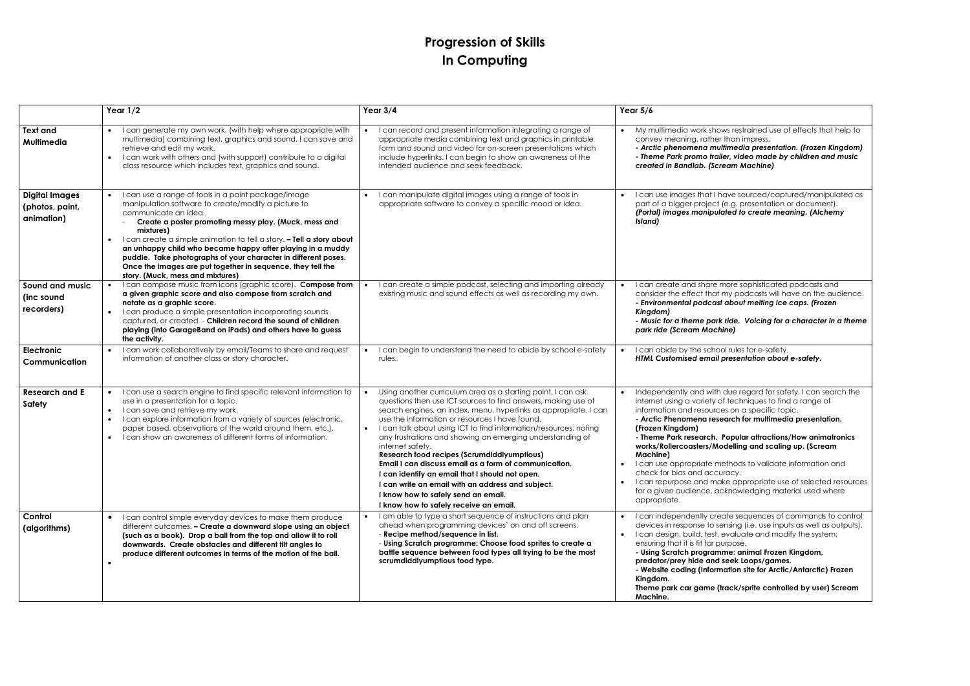## **Progression of Skills In Computing**

|                                                        | Year $1/2$                                                                                                                                                                                                                                                                                                                                                                                                                                                                                                           | Year $3/4$                                                                                                                                                                                                                                                                                                                                                                                                                                                                                                                                                                                                                                                                                                       | Year $5/6$                                                                                                                                                                                                                                                                                                                                                                                                                                                                                                                                                                                                                |
|--------------------------------------------------------|----------------------------------------------------------------------------------------------------------------------------------------------------------------------------------------------------------------------------------------------------------------------------------------------------------------------------------------------------------------------------------------------------------------------------------------------------------------------------------------------------------------------|------------------------------------------------------------------------------------------------------------------------------------------------------------------------------------------------------------------------------------------------------------------------------------------------------------------------------------------------------------------------------------------------------------------------------------------------------------------------------------------------------------------------------------------------------------------------------------------------------------------------------------------------------------------------------------------------------------------|---------------------------------------------------------------------------------------------------------------------------------------------------------------------------------------------------------------------------------------------------------------------------------------------------------------------------------------------------------------------------------------------------------------------------------------------------------------------------------------------------------------------------------------------------------------------------------------------------------------------------|
| Text and<br>Multimedia                                 | I can generate my own work, (with help where appropriate with<br>multimedia) combining text, graphics and sound. I can save and<br>retrieve and edit my work.<br>I can work with others and (with support) contribute to a digital<br>$\bullet$<br>class resource which includes text, graphics and sound.                                                                                                                                                                                                           | I can record and present information integrating a range of<br>appropriate media combining text and graphics in printable<br>form and sound and video for on-screen presentations which<br>include hyperlinks. I can begin to show an awareness of the<br>intended audience and seek feedback.                                                                                                                                                                                                                                                                                                                                                                                                                   | My multimedia work shows restrained use of effects that h<br>convey meaning, rather than impress.<br>- Arctic phenomena multimedia presentation. (Frozen King<br>- Theme Park promo trailer, video made by children and r<br>created in Bandlab. (Scream Machine)                                                                                                                                                                                                                                                                                                                                                         |
| <b>Digital Images</b><br>(photos, paint,<br>animation) | I can use a range of tools in a paint package/image<br>manipulation software to create/modify a picture to<br>communicate an idea.<br>Create a poster promoting messy play. (Muck, mess and<br>mixtures)<br>I can create a simple animation to tell a story. - Tell a story about<br>an unhappy child who became happy after playing in a muddy<br>puddle. Take photographs of your character in different poses.<br>Once the images are put together in sequence, they tell the<br>story. (Muck, mess and mixtures) | I can manipulate digital images using a range of tools in<br>appropriate software to convey a specific mood or idea.                                                                                                                                                                                                                                                                                                                                                                                                                                                                                                                                                                                             | I can use images that I have sourced/captured/manipulc<br>part of a bigger project (e.g. presentation or document).<br>(Portal) images manipulated to create meaning. (Alchem<br>Island)                                                                                                                                                                                                                                                                                                                                                                                                                                  |
| <b>Sound and music</b><br>(inc sound<br>recorders)     | I can compose music from icons (graphic score). Compose from<br>a given graphic score and also compose from scratch and<br>notate as a graphic score.<br>I can produce a simple presentation incorporating sounds<br>captured, or created. - Children record the sound of children<br>playing (into GarageBand on iPads) and others have to guess<br>the activity.                                                                                                                                                   | I can create a simple podcast, selecting and importing already<br>existing music and sound effects as well as recording my own.                                                                                                                                                                                                                                                                                                                                                                                                                                                                                                                                                                                  | I can create and share more sophisticated podcasts and<br>consider the effect that my podcasts will have on the aud<br>- Environmental podcast about melting ice caps. (Frozen<br>Kingdom)<br>- Music for a theme park ride. Voicing for a character in a<br>park ride (Scream Machine)                                                                                                                                                                                                                                                                                                                                   |
| <b>Electronic</b><br>Communication                     | I can work collaboratively by email/Teams to share and request<br>information of another class or story character.                                                                                                                                                                                                                                                                                                                                                                                                   | I can begin to understand the need to abide by school e-safety<br>rules.                                                                                                                                                                                                                                                                                                                                                                                                                                                                                                                                                                                                                                         | I can abide by the school rules for e-safety.<br>HTML Customised email presentation about e-safety.                                                                                                                                                                                                                                                                                                                                                                                                                                                                                                                       |
| <b>Research and E</b><br>Safety                        | I can use a search engine to find specific relevant information to<br>use in a presentation for a topic.<br>I can save and retrieve my work.<br>$\bullet$<br>I can explore information from a variety of sources (electronic,<br>paper based, observations of the world around them, etc.).<br>I can show an awareness of different forms of information.<br>$\bullet$                                                                                                                                               | Using another curriculum area as a starting point, I can ask<br>questions then use ICT sources to find answers, making use of<br>search engines, an index, menu, hyperlinks as appropriate. I can<br>use the information or resources I have found.<br>I can talk about using ICT to find information/resources, noting<br>any frustrations and showing an emerging understanding of<br>internet safety.<br><b>Research food recipes (Scrumdiddlyumptious)</b><br>Email I can discuss email as a form of communication.<br>I can identify an email that I should not open.<br>I can write an email with an address and subject.<br>I know how to safely send an email.<br>I know how to safely receive an email. | Independently and with due regard for safety, I can seard<br>internet using a variety of techniques to find a range of<br>information and resources on a specific topic.<br>- Arctic Phenomena research for multimedia presentation<br>(Frozen Kingdom)<br>- Theme Park research. Popular attractions/How animatro<br>works/Rollercoasters/Modelling and scaling up. (Scream<br>Machine)<br>I can use appropriate methods to validate information an<br>check for bias and accuracy.<br>I can repurpose and make appropriate use of selected re<br>for a given audience, acknowledging material used wher<br>appropriate. |
| Control<br>(algorithms)                                | • I can control simple everyday devices to make them produce<br>different outcomes. - Create a downward slope using an object<br>(such as a book). Drop a ball from the top and allow it to roll<br>downwards. Create obstacles and different tilt angles to<br>produce different outcomes in terms of the motion of the ball.                                                                                                                                                                                       | I am able to type a short sequence of instructions and plan<br>ahead when programming devices' on and off screens.<br>- Recipe method/sequence in list.<br>- Using Scratch programme: Choose food sprites to create a<br>battle sequence between food types all trying to be the most<br>scrumdiddlyumptious food type.                                                                                                                                                                                                                                                                                                                                                                                          | I can independently create sequences of commands to a<br>devices in response to sensing (i.e. use inputs as well as ou<br>I can design, build, test, evaluate and modify the system;<br>ensuring that it is fit for purpose.<br>- Using Scratch programme: animal Frozen Kingdom,<br>predator/prey hide and seek Loops/games.<br>- Website coding (Information site for Arctic/Antarctic) Fro<br>Kingdom.<br>Theme park car game (track/sprite controlled by user) Sc<br>Machine.                                                                                                                                         |

|           | $1$ cul $J$ o                                                                                                                                                                                                                                                                                                                                                                                                                                                                                   |
|-----------|-------------------------------------------------------------------------------------------------------------------------------------------------------------------------------------------------------------------------------------------------------------------------------------------------------------------------------------------------------------------------------------------------------------------------------------------------------------------------------------------------|
|           | My multimedia work shows restrained use of effects that help to<br>convey meaning, rather than impress.<br>- Arctic phenomena multimedia presentation. (Frozen Kingdom)<br>- Theme Park promo trailer, video made by children and music<br>created in Bandlab. (Scream Machine)                                                                                                                                                                                                                 |
|           | I can use images that I have sourced/captured/manipulated as<br>part of a bigger project (e.g. presentation or document).<br>(Portal) images manipulated to create meaning. (Alchemy<br>Island)                                                                                                                                                                                                                                                                                                 |
|           | I can create and share more sophisticated podcasts and<br>consider the effect that my podcasts will have on the audience.<br>- Environmental podcast about melting ice caps. (Frozen<br>Kingdom)<br>- Music for a theme park ride. Voicing for a character in a theme<br>park ride (Scream Machine)                                                                                                                                                                                             |
| $\bullet$ | I can abide by the school rules for e-safety.<br>HTML Customised email presentation about e-safety.                                                                                                                                                                                                                                                                                                                                                                                             |
|           | Independently and with due regard for safety, I can search the<br>internet using a variety of techniques to find a range of<br>information and resources on a specific topic.<br>- Arctic Phenomena research for multimedia presentation.<br>(Frozen Kingdom)<br>- Theme Park research. Popular attractions/How animatronics<br>works/Rollercoasters/Modelling and scaling up. (Scream<br>Machine)<br>I can use appropriate methods to validate information and<br>check for bias and accuracy. |
| $\bullet$ | I can repurpose and make appropriate use of selected resources<br>for a given audience, acknowledging material used where<br>appropriate.                                                                                                                                                                                                                                                                                                                                                       |
| $\bullet$ | I can independently create sequences of commands to control<br>devices in response to sensing (i.e. use inputs as well as outputs).<br>I can design, build, test, evaluate and modify the system;<br>ensuring that it is fit for purpose.<br>- Using Scratch programme: animal Frozen Kingdom,<br>predator/prey hide and seek Loops/games.<br>- Website coding (Information site for Arctic/Antarctic) Frozen<br>Kingdom.<br>Theme park car game (track/sprite controlled by user) Scream       |